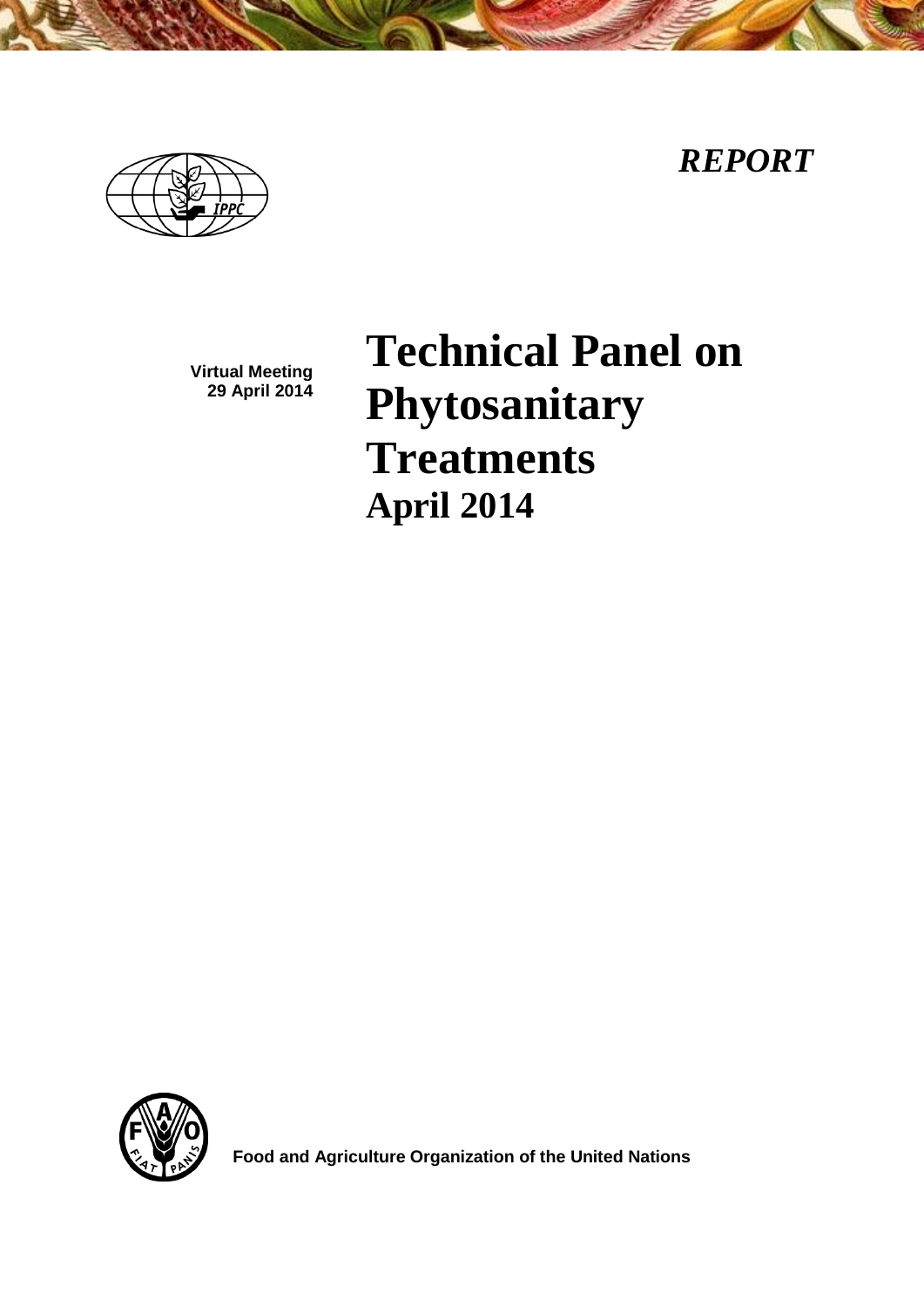*REPORT*



**Virtual Meeting 29 April 2014**

**Technical Panel on Phytosanitary Treatments April 2014**



**Food and Agriculture Organization of the United Nations**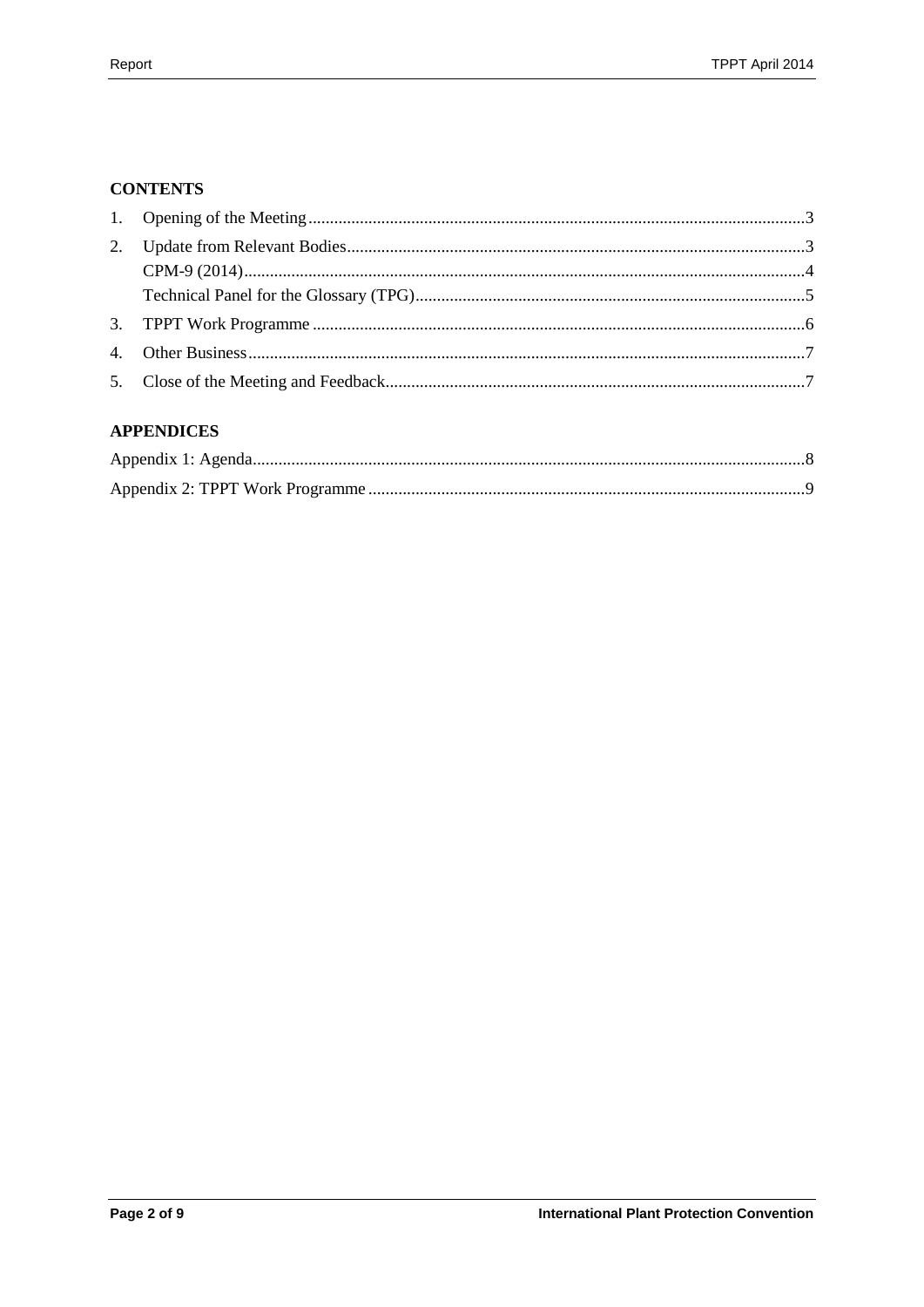## **CONTENTS**

# **APPENDICES**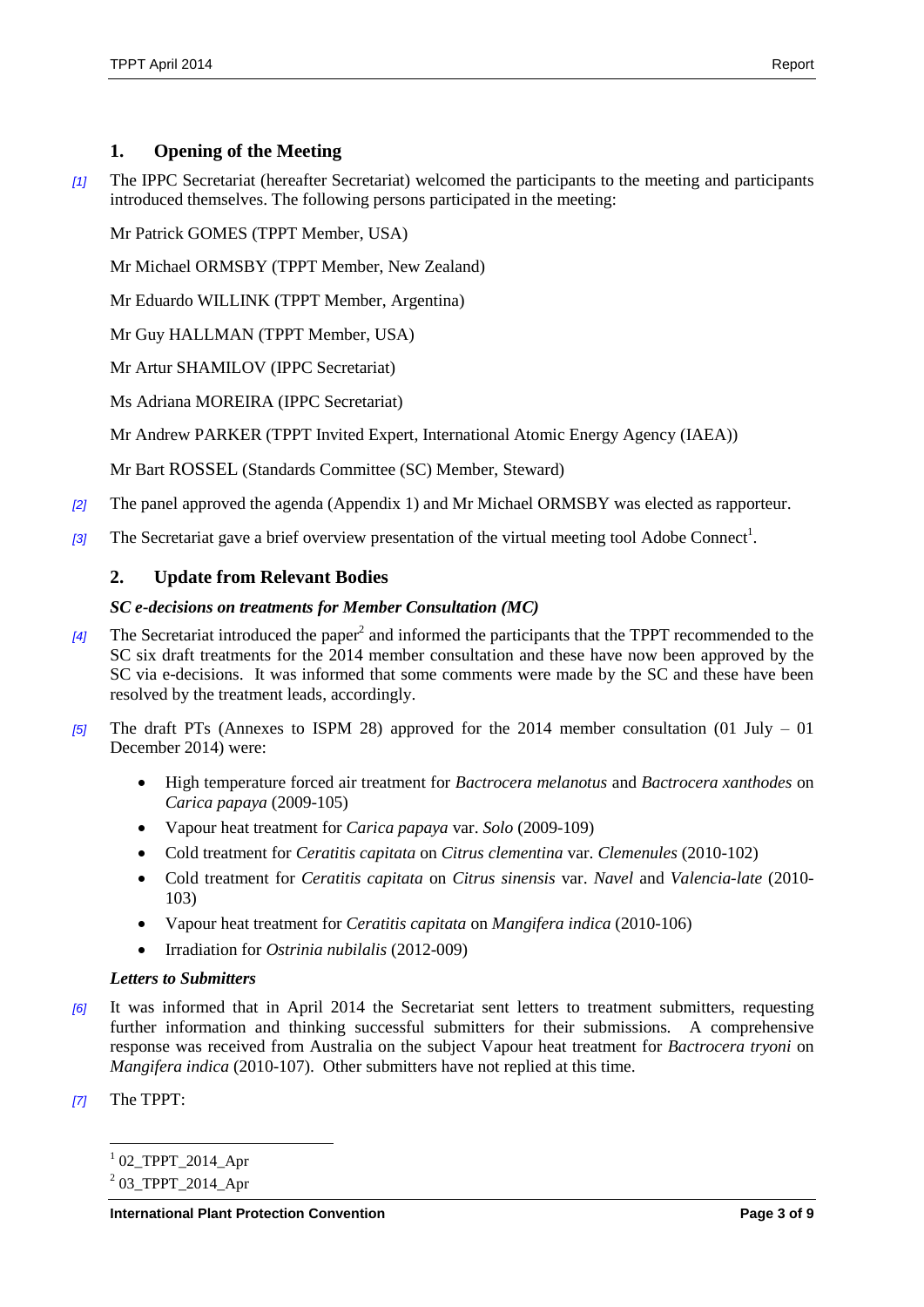# <span id="page-2-0"></span>**1. Opening of the Meeting**

*[1]* The IPPC Secretariat (hereafter Secretariat) welcomed the participants to the meeting and participants introduced themselves. The following persons participated in the meeting:

Mr Patrick GOMES (TPPT Member, USA)

Mr Michael ORMSBY (TPPT Member, New Zealand)

Mr Eduardo WILLINK (TPPT Member, Argentina)

Mr Guy HALLMAN (TPPT Member, USA)

Mr Artur SHAMILOV (IPPC Secretariat)

Ms Adriana MOREIRA (IPPC Secretariat)

Mr Andrew PARKER (TPPT Invited Expert, International Atomic Energy Agency (IAEA))

Mr Bart ROSSEL (Standards Committee (SC) Member, Steward)

- *[2]* The panel approved the agenda (Appendix 1) and Mr Michael ORMSBY was elected as rapporteur.
- [3] The Secretariat gave a brief overview presentation of the virtual meeting tool Adobe Connect<sup>1</sup>.

## <span id="page-2-1"></span>**2. Update from Relevant Bodies**

#### *SC e-decisions on treatments for Member Consultation (MC)*

- [4] The Secretariat introduced the paper<sup>2</sup> and informed the participants that the TPPT recommended to the SC six draft treatments for the 2014 member consultation and these have now been approved by the SC via e-decisions. It was informed that some comments were made by the SC and these have been resolved by the treatment leads, accordingly.
- *[5]* The draft PTs (Annexes to ISPM 28) approved for the 2014 member consultation (01 July 01 December 2014) were:
	- High temperature forced air treatment for *Bactrocera melanotus* and *Bactrocera xanthodes* on *Carica papaya* (2009-105)
	- Vapour heat treatment for *Carica papaya* var. *Solo* (2009-109)
	- Cold treatment for *Ceratitis capitata* on *Citrus clementina* var. *Clemenules* (2010-102)
	- Cold treatment for *Ceratitis capitata* on *Citrus sinensis* var. *Navel* and *Valencia-late* (2010- 103)
	- Vapour heat treatment for *Ceratitis capitata* on *Mangifera indica* (2010-106)
	- Irradiation for *Ostrinia nubilalis* (2012-009)

#### *Letters to Submitters*

- *[6]* It was informed that in April 2014 the Secretariat sent letters to treatment submitters, requesting further information and thinking successful submitters for their submissions. A comprehensive response was received from Australia on the subject Vapour heat treatment for *Bactrocera tryoni* on *Mangifera indica* (2010-107). Other submitters have not replied at this time.
- *[7]* The TPPT:

l <sup>1</sup> 02\_TPPT\_2014\_Apr

 $^{2}$  03\_TPPT\_2014\_Apr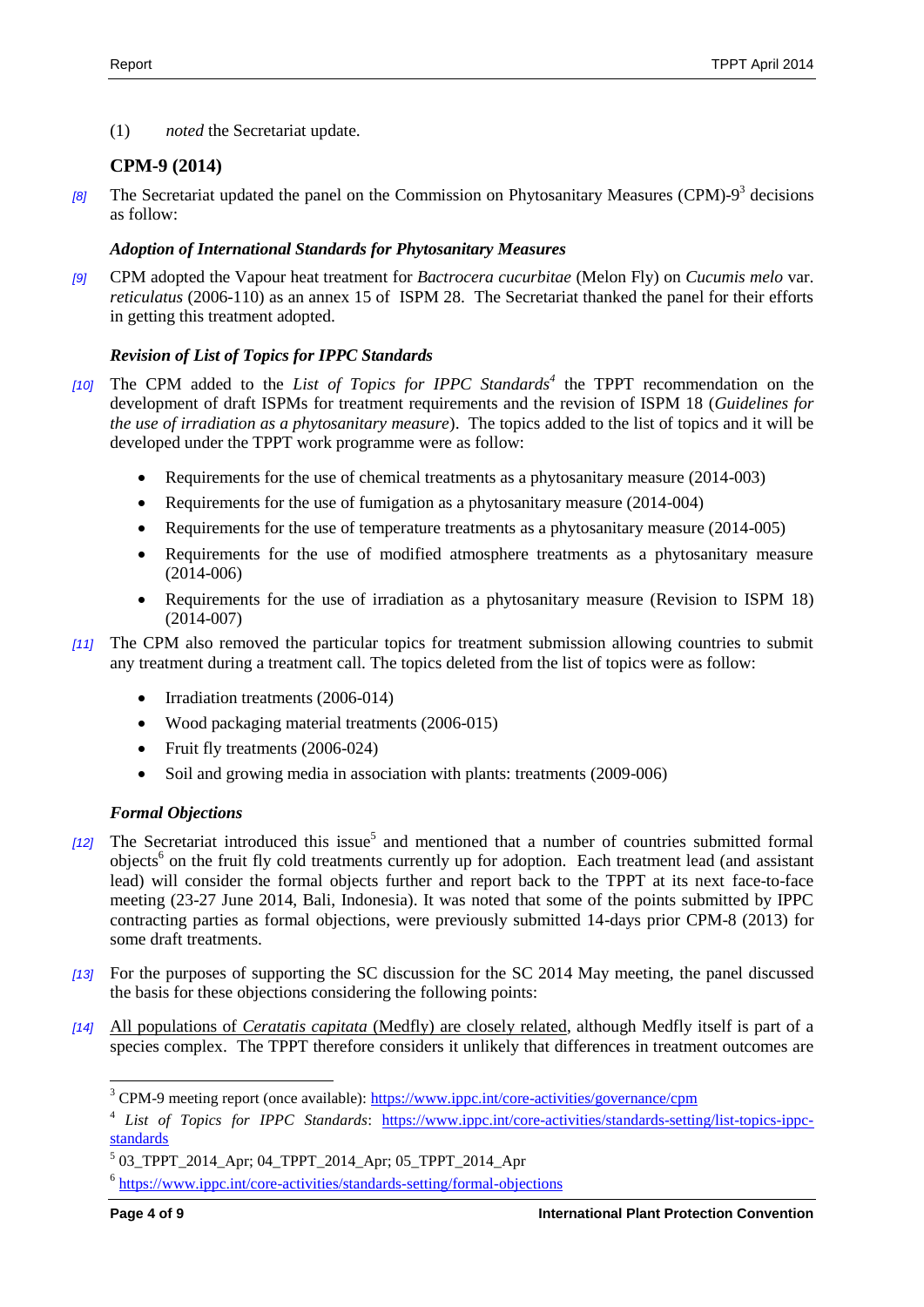(1) *noted* the Secretariat update.

# <span id="page-3-0"></span>**CPM-9 (2014)**

[8] The Secretariat updated the panel on the Commission on Phytosanitary Measures (CPM)-9<sup>3</sup> decisions as follow:

## *Adoption of International Standards for Phytosanitary Measures*

*[9]* CPM adopted the Vapour heat treatment for *Bactrocera cucurbitae* (Melon Fly) on *Cucumis melo* var. *reticulatus* (2006-110) as an annex 15 of ISPM 28. The Secretariat thanked the panel for their efforts in getting this treatment adopted.

# *Revision of List of Topics for IPPC Standards*

- *[10]* The CPM added to the *List of Topics for IPPC Standards<sup>4</sup>* the TPPT recommendation on the development of draft ISPMs for treatment requirements and the revision of ISPM 18 (*Guidelines for the use of irradiation as a phytosanitary measure*). The topics added to the list of topics and it will be developed under the TPPT work programme were as follow:
	- Requirements for the use of chemical treatments as a phytosanitary measure (2014-003)
	- Requirements for the use of fumigation as a phytosanitary measure (2014-004)
	- Requirements for the use of temperature treatments as a phytosanitary measure (2014-005)
	- Requirements for the use of modified atmosphere treatments as a phytosanitary measure (2014-006)
	- Requirements for the use of irradiation as a phytosanitary measure (Revision to ISPM 18) (2014-007)
- *[11]* The CPM also removed the particular topics for treatment submission allowing countries to submit any treatment during a treatment call. The topics deleted from the list of topics were as follow:
	- Irradiation treatments (2006-014)
	- Wood packaging material treatments (2006-015)
	- Fruit fly treatments (2006-024)
	- Soil and growing media in association with plants: treatments (2009-006)

## *Formal Objections*

- [12] The Secretariat introduced this issue<sup>5</sup> and mentioned that a number of countries submitted formal objects<sup>6</sup> on the fruit fly cold treatments currently up for adoption. Each treatment lead (and assistant lead) will consider the formal objects further and report back to the TPPT at its next face-to-face meeting (23-27 June 2014, Bali, Indonesia). It was noted that some of the points submitted by IPPC contracting parties as formal objections, were previously submitted 14-days prior CPM-8 (2013) for some draft treatments.
- *[13]* For the purposes of supporting the SC discussion for the SC 2014 May meeting, the panel discussed the basis for these objections considering the following points:
- *[14]* All populations of *Ceratatis capitata* (Medfly) are closely related, although Medfly itself is part of a species complex. The TPPT therefore considers it unlikely that differences in treatment outcomes are

l

<sup>&</sup>lt;sup>3</sup> CPM-9 meeting report (once available):<https://www.ippc.int/core-activities/governance/cpm>

<sup>4</sup> *List of Topics for IPPC Standards*: [https://www.ippc.int/core-activities/standards-setting/list-topics-ippc](https://www.ippc.int/core-activities/standards-setting/list-topics-ippc-standards)[standards](https://www.ippc.int/core-activities/standards-setting/list-topics-ippc-standards)

<sup>5</sup> 03\_TPPT\_2014\_Apr; 04\_TPPT\_2014\_Apr; 05\_TPPT\_2014\_Apr

<sup>&</sup>lt;sup>6</sup> <https://www.ippc.int/core-activities/standards-setting/formal-objections>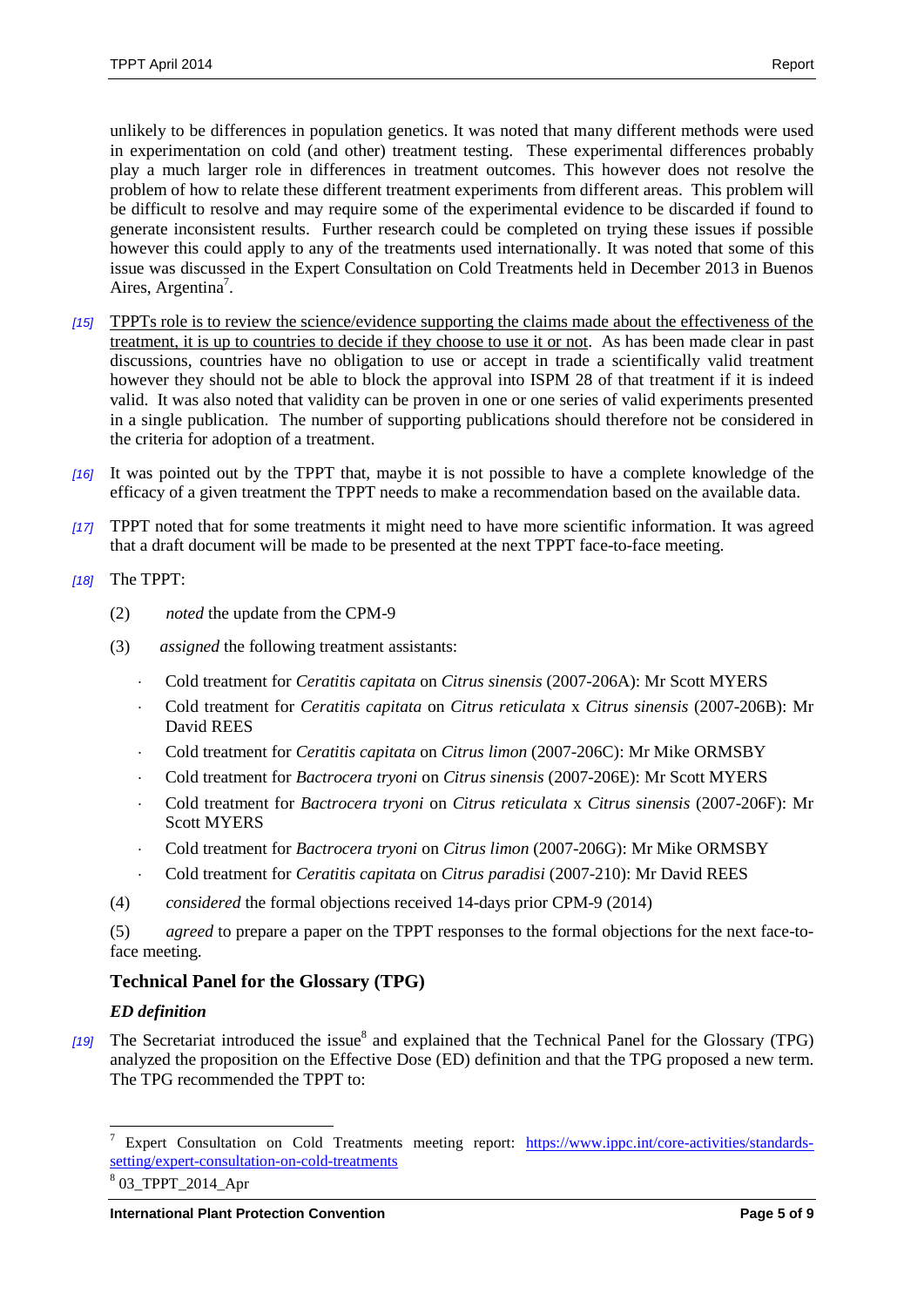unlikely to be differences in population genetics. It was noted that many different methods were used in experimentation on cold (and other) treatment testing. These experimental differences probably play a much larger role in differences in treatment outcomes. This however does not resolve the problem of how to relate these different treatment experiments from different areas. This problem will be difficult to resolve and may require some of the experimental evidence to be discarded if found to generate inconsistent results. Further research could be completed on trying these issues if possible however this could apply to any of the treatments used internationally. It was noted that some of this issue was discussed in the Expert Consultation on Cold Treatments held in December 2013 in Buenos Aires, Argentina<sup>7</sup>.

- *[15]* TPPTs role is to review the science/evidence supporting the claims made about the effectiveness of the treatment, it is up to countries to decide if they choose to use it or not. As has been made clear in past discussions, countries have no obligation to use or accept in trade a scientifically valid treatment however they should not be able to block the approval into ISPM 28 of that treatment if it is indeed valid. It was also noted that validity can be proven in one or one series of valid experiments presented in a single publication. The number of supporting publications should therefore not be considered in the criteria for adoption of a treatment.
- *[16]* It was pointed out by the TPPT that, maybe it is not possible to have a complete knowledge of the efficacy of a given treatment the TPPT needs to make a recommendation based on the available data.
- *[17]* TPPT noted that for some treatments it might need to have more scientific information. It was agreed that a draft document will be made to be presented at the next TPPT face-to-face meeting.
- *[18]* The TPPT:
	- (2) *noted* the update from the CPM-9
	- (3) *assigned* the following treatment assistants:
		- Cold treatment for *Ceratitis capitata* on *Citrus sinensis* (2007-206A): Mr Scott MYERS
		- Cold treatment for *Ceratitis capitata* on *Citrus reticulata* x *Citrus sinensis* (2007-206B): Mr David REES
		- Cold treatment for *Ceratitis capitata* on *Citrus limon* (2007-206C): Mr Mike ORMSBY
		- Cold treatment for *Bactrocera tryoni* on *Citrus sinensis* (2007-206E): Mr Scott MYERS
		- Cold treatment for *Bactrocera tryoni* on *Citrus reticulata* x *Citrus sinensis* (2007-206F): Mr Scott MYERS
		- Cold treatment for *Bactrocera tryoni* on *Citrus limon* (2007-206G): Mr Mike ORMSBY
		- Cold treatment for *Ceratitis capitata* on *Citrus paradisi* (2007-210): Mr David REES
	- (4) *considered* the formal objections received 14-days prior CPM-9 (2014)

(5) *agreed* to prepare a paper on the TPPT responses to the formal objections for the next face-toface meeting.

## <span id="page-4-0"></span>**Technical Panel for the Glossary (TPG)**

#### *ED definition*

[19] The Secretariat introduced the issue<sup>8</sup> and explained that the Technical Panel for the Glossary (TPG) analyzed the proposition on the Effective Dose (ED) definition and that the TPG proposed a new term. The TPG recommended the TPPT to:

 $\boldsymbol{7}$ <sup>7</sup> Expert Consultation on Cold Treatments meeting report: [https://www.ippc.int/core-activities/standards](https://www.ippc.int/core-activities/standards-setting/expert-consultation-on-cold-treatments)[setting/expert-consultation-on-cold-treatments](https://www.ippc.int/core-activities/standards-setting/expert-consultation-on-cold-treatments)

<sup>8</sup> 03\_TPPT\_2014\_Apr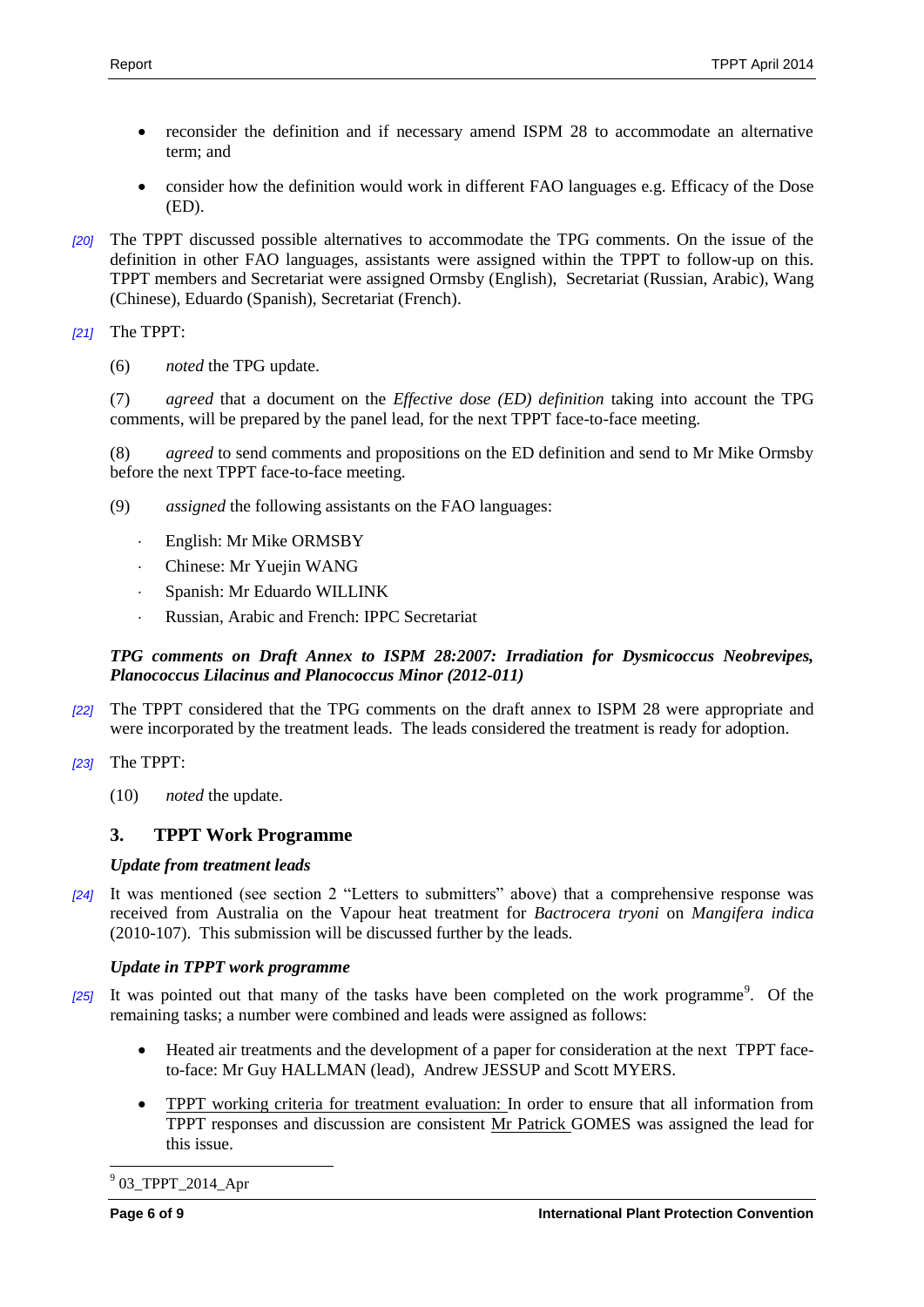- reconsider the definition and if necessary amend ISPM 28 to accommodate an alternative term; and
- consider how the definition would work in different FAO languages e.g. Efficacy of the Dose (ED).
- *[20]* The TPPT discussed possible alternatives to accommodate the TPG comments. On the issue of the definition in other FAO languages, assistants were assigned within the TPPT to follow-up on this. TPPT members and Secretariat were assigned Ormsby (English), Secretariat (Russian, Arabic), Wang (Chinese), Eduardo (Spanish), Secretariat (French).
- *[21]* The TPPT:
	- (6) *noted* the TPG update.

(7) *agreed* that a document on the *Effective dose (ED) definition* taking into account the TPG comments, will be prepared by the panel lead, for the next TPPT face-to-face meeting.

(8) *agreed* to send comments and propositions on the ED definition and send to Mr Mike Ormsby before the next TPPT face-to-face meeting.

- (9) *assigned* the following assistants on the FAO languages:
	- English: Mr Mike ORMSBY
	- Chinese: Mr Yuejin WANG
	- Spanish: Mr Eduardo WILLINK
	- Russian, Arabic and French: IPPC Secretariat

## *TPG comments on Draft Annex to ISPM 28:2007: Irradiation for Dysmicoccus Neobrevipes, Planococcus Lilacinus and Planococcus Minor (2012-011)*

- *[22]* The TPPT considered that the TPG comments on the draft annex to ISPM 28 were appropriate and were incorporated by the treatment leads. The leads considered the treatment is ready for adoption.
- *[23]* The TPPT:
	- (10) *noted* the update.

# <span id="page-5-0"></span>**3. TPPT Work Programme**

## *Update from treatment leads*

*[24]* It was mentioned (see section 2 "Letters to submitters" above) that a comprehensive response was received from Australia on the Vapour heat treatment for *Bactrocera tryoni* on *Mangifera indica* (2010-107). This submission will be discussed further by the leads.

# *Update in TPPT work programme*

- [25] It was pointed out that many of the tasks have been completed on the work programme<sup>9</sup>. Of the remaining tasks; a number were combined and leads were assigned as follows:
	- Heated air treatments and the development of a paper for consideration at the next TPPT faceto-face: Mr Guy HALLMAN (lead), Andrew JESSUP and Scott MYERS.
	- TPPT working criteria for treatment evaluation: In order to ensure that all information from TPPT responses and discussion are consistent Mr Patrick GOMES was assigned the lead for this issue.

 $\overline{a}$ <sup>9</sup> 03\_TPPT\_2014\_Apr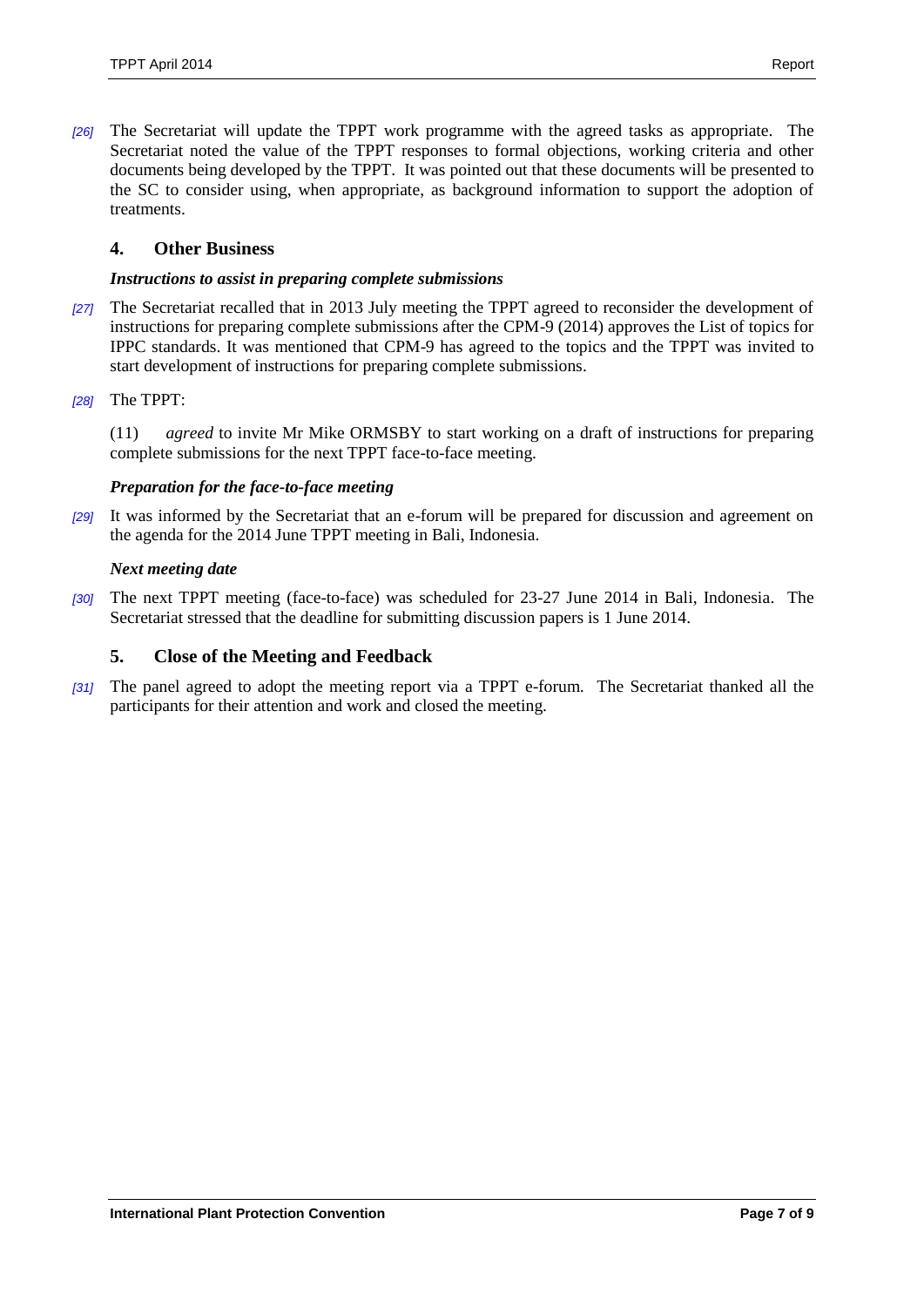*[26]* The Secretariat will update the TPPT work programme with the agreed tasks as appropriate. The Secretariat noted the value of the TPPT responses to formal objections, working criteria and other documents being developed by the TPPT. It was pointed out that these documents will be presented to the SC to consider using, when appropriate, as background information to support the adoption of treatments.

### <span id="page-6-0"></span>**4. Other Business**

#### *Instructions to assist in preparing complete submissions*

- *[27]* The Secretariat recalled that in 2013 July meeting the TPPT agreed to reconsider the development of instructions for preparing complete submissions after the CPM-9 (2014) approves the List of topics for IPPC standards. It was mentioned that CPM-9 has agreed to the topics and the TPPT was invited to start development of instructions for preparing complete submissions.
- *[28]* The TPPT:

(11) *agreed* to invite Mr Mike ORMSBY to start working on a draft of instructions for preparing complete submissions for the next TPPT face-to-face meeting.

#### *Preparation for the face-to-face meeting*

*[29]* It was informed by the Secretariat that an e-forum will be prepared for discussion and agreement on the agenda for the 2014 June TPPT meeting in Bali, Indonesia.

#### *Next meeting date*

*[30]* The next TPPT meeting (face-to-face) was scheduled for 23-27 June 2014 in Bali, Indonesia. The Secretariat stressed that the deadline for submitting discussion papers is 1 June 2014.

#### <span id="page-6-1"></span>**5. Close of the Meeting and Feedback**

*[31]* The panel agreed to adopt the meeting report via a TPPT e-forum. The Secretariat thanked all the participants for their attention and work and closed the meeting.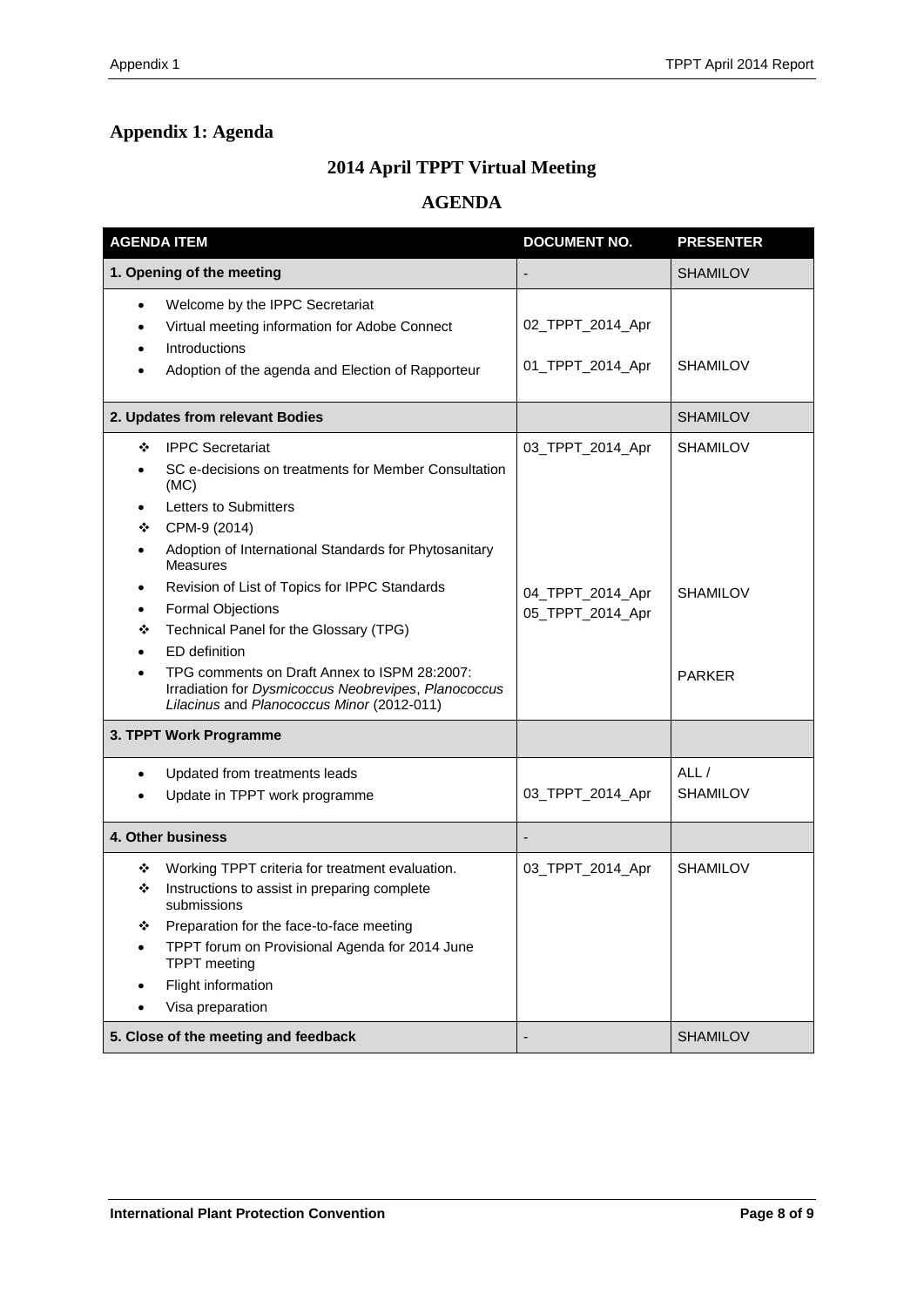# <span id="page-7-0"></span>**Appendix 1: Agenda**

# **2014 April TPPT Virtual Meeting**

# **AGENDA**

| <b>AGENDA ITEM</b>                         |                                                                                                                                                                                                                                                                                                                                                      | <b>DOCUMENT NO.</b>                                      | <b>PRESENTER</b>                   |
|--------------------------------------------|------------------------------------------------------------------------------------------------------------------------------------------------------------------------------------------------------------------------------------------------------------------------------------------------------------------------------------------------------|----------------------------------------------------------|------------------------------------|
|                                            | 1. Opening of the meeting                                                                                                                                                                                                                                                                                                                            |                                                          | <b>SHAMILOV</b>                    |
| ٠<br>$\bullet$<br>٠                        | Welcome by the IPPC Secretariat<br>Virtual meeting information for Adobe Connect<br>Introductions<br>Adoption of the agenda and Election of Rapporteur                                                                                                                                                                                               | 02_TPPT_2014_Apr<br>01_TPPT_2014_Apr                     | <b>SHAMILOV</b>                    |
|                                            | 2. Updates from relevant Bodies                                                                                                                                                                                                                                                                                                                      |                                                          | <b>SHAMILOV</b>                    |
| ❖<br>❖<br>٠<br>$\bullet$<br>$\bullet$<br>❖ | <b>IPPC Secretariat</b><br>SC e-decisions on treatments for Member Consultation<br>(MC)<br>Letters to Submitters<br>CPM-9 (2014)<br>Adoption of International Standards for Phytosanitary<br><b>Measures</b><br>Revision of List of Topics for IPPC Standards<br><b>Formal Objections</b><br>Technical Panel for the Glossary (TPG)<br>ED definition | 03_TPPT_2014_Apr<br>04_TPPT_2014_Apr<br>05_TPPT_2014_Apr | <b>SHAMILOV</b><br><b>SHAMILOV</b> |
|                                            | TPG comments on Draft Annex to ISPM 28:2007:<br>Irradiation for Dysmicoccus Neobrevipes, Planococcus<br>Lilacinus and Planococcus Minor (2012-011)                                                                                                                                                                                                   |                                                          | <b>PARKER</b>                      |
|                                            | 3. TPPT Work Programme                                                                                                                                                                                                                                                                                                                               |                                                          |                                    |
| $\bullet$                                  | Updated from treatments leads<br>Update in TPPT work programme                                                                                                                                                                                                                                                                                       | 03_TPPT_2014_Apr                                         | ALL/<br><b>SHAMILOV</b>            |
| 4. Other business                          |                                                                                                                                                                                                                                                                                                                                                      |                                                          |                                    |
| ❖<br>❖                                     | Working TPPT criteria for treatment evaluation.<br>Instructions to assist in preparing complete<br>submissions<br>Preparation for the face-to-face meeting<br>TPPT forum on Provisional Agenda for 2014 June<br><b>TPPT</b> meeting<br>Flight information<br>Visa preparation                                                                        | 03_TPPT_2014_Apr                                         | <b>SHAMILOV</b>                    |
|                                            | 5. Close of the meeting and feedback                                                                                                                                                                                                                                                                                                                 |                                                          | <b>SHAMILOV</b>                    |